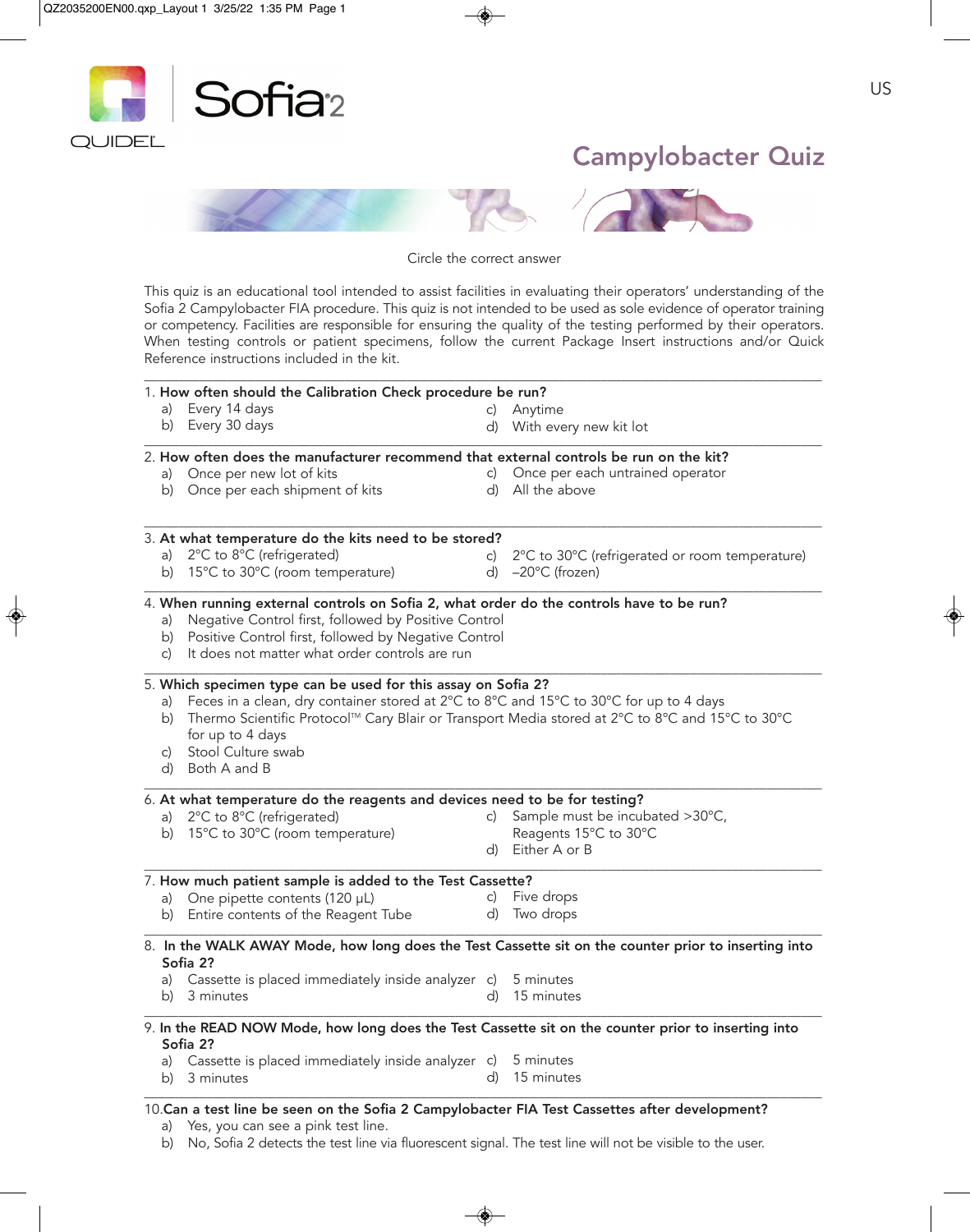

Circle the correct answer

This quiz is an educational tool intended to assist facilities in evaluating their operators' understanding of the Sofia 2 Campylobacter FIA procedure. This quiz is not intended to be used as sole evidence of operator training or competency. Facilities are responsible for ensuring the quality of the testing performed by their operators. When testing controls or patient specimens, follow the current Package Insert instructions and/or Quick Reference instructions included in the kit.

 $\_$  ,  $\_$  ,  $\_$  ,  $\_$  ,  $\_$  ,  $\_$  ,  $\_$  ,  $\_$  ,  $\_$  ,  $\_$  ,  $\_$  ,  $\_$  ,  $\_$  ,  $\_$  ,  $\_$  ,  $\_$  ,  $\_$  ,  $\_$  ,  $\_$  ,  $\_$  ,  $\_$  ,  $\_$  ,  $\_$  ,  $\_$  ,  $\_$  ,  $\_$  ,  $\_$  ,  $\_$  ,  $\_$  ,  $\_$  ,  $\_$  ,  $\_$  ,  $\_$  ,  $\_$  ,  $\_$  ,  $\_$  ,  $\_$  ,

|    | 1. How often should the Calibration Check procedure be run?                                                     |    |                                                                                                      |  |  |
|----|-----------------------------------------------------------------------------------------------------------------|----|------------------------------------------------------------------------------------------------------|--|--|
| a) | Every 14 days                                                                                                   | C) | Anytime                                                                                              |  |  |
|    | b) Every 30 days                                                                                                |    | d) With every new kit lot                                                                            |  |  |
|    | 2. How often does the manufacturer recommend that external controls be run on the kit?                          |    |                                                                                                      |  |  |
|    | a) Once per new lot of kits                                                                                     |    | c) Once per each untrained operator                                                                  |  |  |
|    | b) Once per each shipment of kits                                                                               |    | d) All the above                                                                                     |  |  |
|    | 3. At what temperature do the kits need to be stored?                                                           |    |                                                                                                      |  |  |
|    | a) 2°C to 8°C (refrigerated)                                                                                    | C) | 2°C to 30°C (refrigerated or room temperature)                                                       |  |  |
|    | b) 15°C to 30°C (room temperature)                                                                              |    | d) $-20^{\circ}$ C (frozen)                                                                          |  |  |
|    | 4. When running external controls on Sofia 2, what order do the controls have to be run?                        |    |                                                                                                      |  |  |
| a) | Negative Control first, followed by Positive Control                                                            |    |                                                                                                      |  |  |
|    | b) Positive Control first, followed by Negative Control                                                         |    |                                                                                                      |  |  |
| C) | It does not matter what order controls are run                                                                  |    |                                                                                                      |  |  |
|    | 5. Which specimen type can be used for this assay on Sofia 2?                                                   |    |                                                                                                      |  |  |
|    |                                                                                                                 |    |                                                                                                      |  |  |
| a) | Feces in a clean, dry container stored at 2°C to 8°C and 15°C to 30°C for up to 4 days                          |    |                                                                                                      |  |  |
|    | b) Thermo Scientific Protocol™ Cary Blair or Transport Media stored at 2°C to 8°C and 15°C to 30°C              |    |                                                                                                      |  |  |
|    | for up to 4 days                                                                                                |    |                                                                                                      |  |  |
| C) | Stool Culture swab                                                                                              |    |                                                                                                      |  |  |
|    | d) Both A and B                                                                                                 |    |                                                                                                      |  |  |
|    | 6. At what temperature do the reagents and devices need to be for testing?                                      |    |                                                                                                      |  |  |
|    | a) 2°C to 8°C (refrigerated)                                                                                    | C) | Sample must be incubated >30°C,                                                                      |  |  |
|    | b) 15°C to 30°C (room temperature)                                                                              |    | Reagents 15°C to 30°C                                                                                |  |  |
|    |                                                                                                                 | d) | Either A or B                                                                                        |  |  |
|    | 7. How much patient sample is added to the Test Cassette?                                                       |    |                                                                                                      |  |  |
|    | a) One pipette contents (120 µL)                                                                                | C) | Five drops                                                                                           |  |  |
|    | b) Entire contents of the Reagent Tube                                                                          | d) | Two drops                                                                                            |  |  |
|    |                                                                                                                 |    | 8. In the WALK AWAY Mode, how long does the Test Cassette sit on the counter prior to inserting into |  |  |
|    | Sofia 2?                                                                                                        |    |                                                                                                      |  |  |
|    | a) Cassette is placed immediately inside analyzer c)                                                            |    | 5 minutes                                                                                            |  |  |
|    | b) 3 minutes                                                                                                    |    | d) 15 minutes                                                                                        |  |  |
|    | 9. In the READ NOW Mode, how long does the Test Cassette sit on the counter prior to inserting into<br>Sofia 2? |    |                                                                                                      |  |  |
|    | a) Cassette is placed immediately inside analyzer c) 5 minutes                                                  |    |                                                                                                      |  |  |

a) Yes, you can see a pink test line.

b) No, Sofia 2 detects the test line via fluorescent signal. The test line will not be visible to the user.